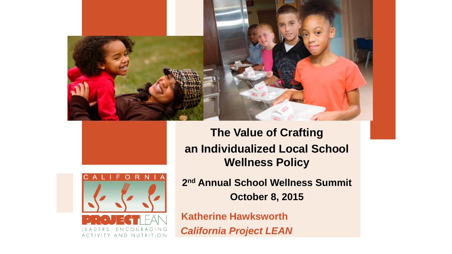



ACTIVITY AND NUTRITION

COURAGIN

**The Value of Crafting an Individualized Local School Wellness Policy**

**2nd Annual School Wellness Summit October 8, 2015**

**Katherine Hawksworth** *California Project LEAN*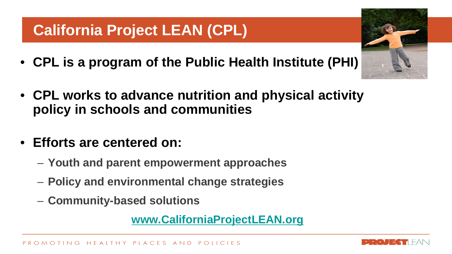## **California Project LEAN (CPL)**

- **CPL is a program of the Public Health Institute (PHI)**
- **CPL works to advance nutrition and physical activity policy in schools and communities**
- **Efforts are centered on:**
	- **Youth and parent empowerment approaches**
	- **Policy and environmental change strategies**
	- **Community-based solutions**

**[www.CaliforniaProjectLEAN.org](http://www.californiaprojectlean.org/)**



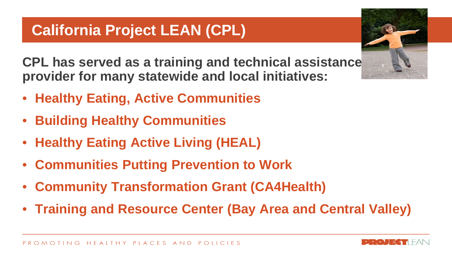## **California Project LEAN (CPL)**

**CPL has served as a training and technical assistance provider for many statewide and local initiatives:** 

- **Healthy Eating, Active Communities**
- **Building Healthy Communities**
- **Healthy Eating Active Living (HEAL)**
- **Communities Putting Prevention to Work**
- **Community Transformation Grant (CA4Health)**
- **Training and Resource Center (Bay Area and Central Valley)**



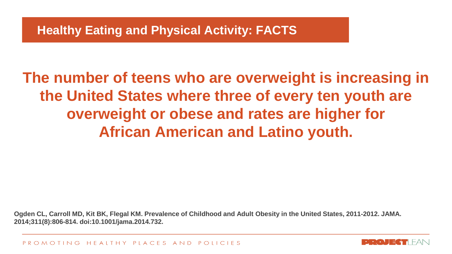**The number of teens who are overweight is increasing in the United States where three of every ten youth are overweight or obese and rates are higher for African American and Latino youth.**

**Ogden CL, Carroll MD, Kit BK, Flegal KM. Prevalence of Childhood and Adult Obesity in the United States, 2011-2012. JAMA. 2014;311(8):806-814. doi:10.1001/jama.2014.732.**

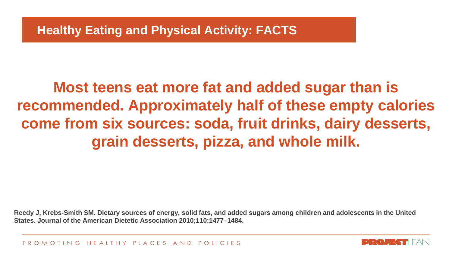# **Most teens eat more fat and added sugar than is recommended. Approximately half of these empty calories come from six sources: soda, fruit drinks, dairy desserts, grain desserts, pizza, and whole milk.**

**Reedy J, Krebs-Smith SM. Dietary sources of energy, solid fats, and added sugars among children and adolescents in the United States. Journal of the American Dietetic Association 2010;110:1477–1484.**

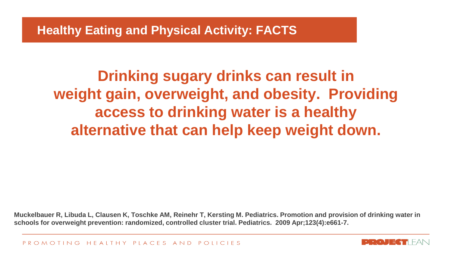#### **Healthy Eating and Physical Activity: FACTS**

**Drinking sugary drinks can result in weight gain, overweight, and obesity. Providing access to drinking water is a healthy alternative that can help keep weight down.**

**Muckelbauer R, Libuda L, Clausen K, Toschke AM, Reinehr T, Kersting M. Pediatrics. Promotion and provision of drinking water in schools for overweight prevention: randomized, controlled cluster trial. Pediatrics. 2009 Apr;123(4):e661-7.** 

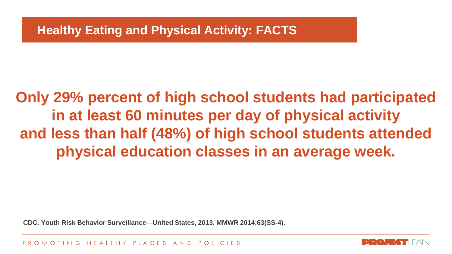# **Only 29% percent of high school students had participated in at least 60 minutes per day of physical activity and less than half (48%) of high school students attended physical education classes in an average week.**

**CDC. Youth Risk Behavior Surveillance—United States, 2013. MMWR 2014;63(SS-4).**

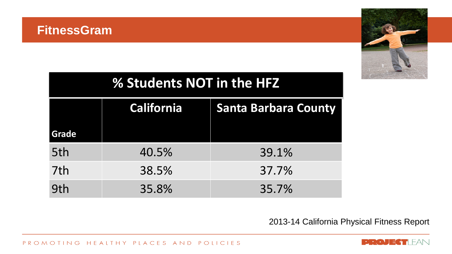

| % Students NOT in the HFZ |                   |                             |
|---------------------------|-------------------|-----------------------------|
|                           | <b>California</b> | <b>Santa Barbara County</b> |
| <b>Grade</b>              |                   |                             |
| 5th                       | 40.5%             | 39.1%                       |
| 7th                       | 38.5%             | 37.7%                       |
| 9th                       | 35.8%             | 35.7%                       |

2013-14 California Physical Fitness Report



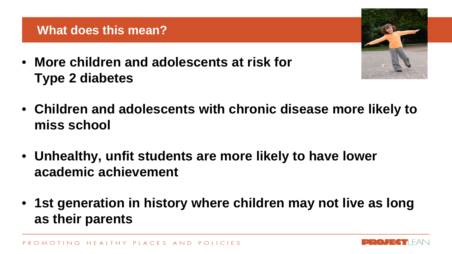• **More children and adolescents at risk for Type 2 diabetes**



- **Children and adolescents with chronic disease more likely to miss school**
- **Unhealthy, unfit students are more likely to have lower academic achievement**
- **1st generation in history where children may not live as long as their parents**

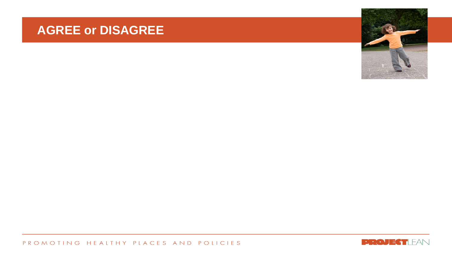#### **AGREE or DISAGREE**



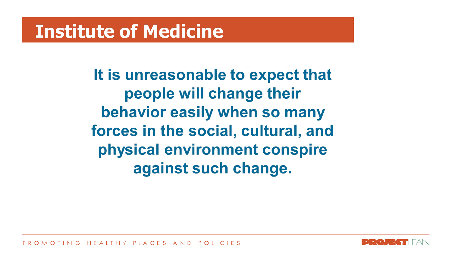# **Institute of Medicine**

It is unreasonable to expect that people will change their behavior easily when so many forces in the social, cultural, and physical environment conspire against such change.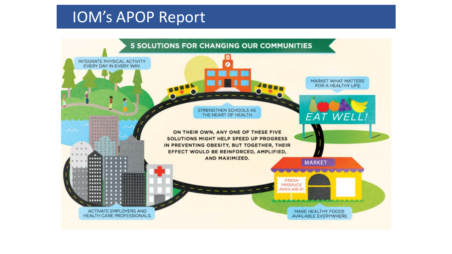## IOM's APOP Report

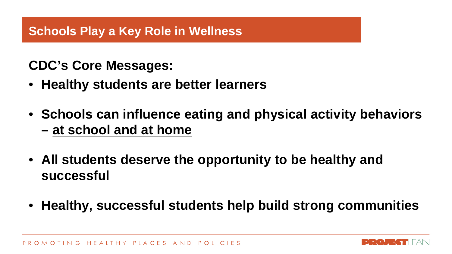#### **Schools Play a Key Role in Wellness**

### **CDC's Core Messages:**

- **Healthy students are better learners**
- **Schools can influence eating and physical activity behaviors – at school and at home**
- **All students deserve the opportunity to be healthy and successful**
- **Healthy, successful students help build strong communities**

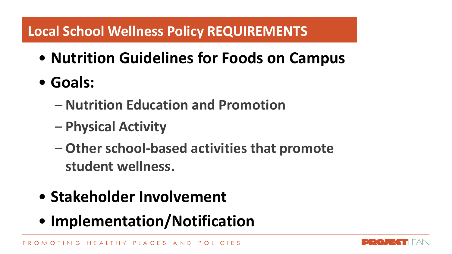## **Local School Wellness Policy REQUIREMENTS**

- $\mathbf{L}$ • **Nutrition Guidelines for Foods on Campus**
- **Goals:**
	- **Nutrition Education and Promotion**
	- **Physical Activity**
	- **Other school-based activities that promote student wellness.**
- **Stakeholder Involvement**
- **Implementation/Notification**

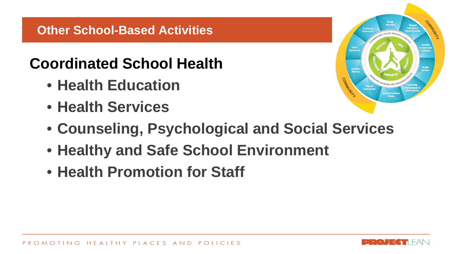#### **Other School-Based Activities**

## **Coordinated School Health**

- **Health Education**
- **Health Services**



- **Counseling, Psychological and Social Services**
- **Healthy and Safe School Environment**
- **Health Promotion for Staff**

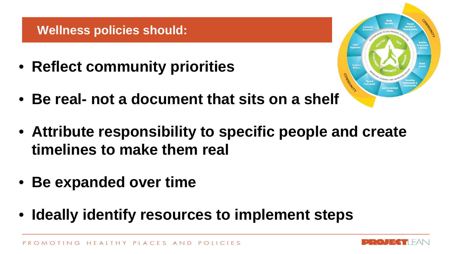#### **Wellness policies should:**

• **Reflect community priorities**

- 
- **Be real- not a document that sits on a shelf**
- **Attribute responsibility to specific people and create timelines to make them real**
- **Be expanded over time**
- **Ideally identify resources to implement steps**

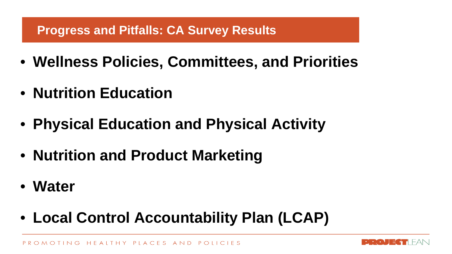#### **Progress and Pitfalls: CA Survey Results**

- **Wellness Policies, Committees, and Priorities**
- **Nutrition Education**
- **Physical Education and Physical Activity**
- **Nutrition and Product Marketing**
- **Water**
- **Local Control Accountability Plan (LCAP)**

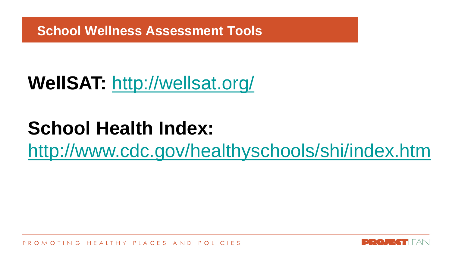**School Wellness Assessment Tools**

# **WellSAT:** <http://wellsat.org/>

# **School Health Index:**

<http://www.cdc.gov/healthyschools/shi/index.htm>

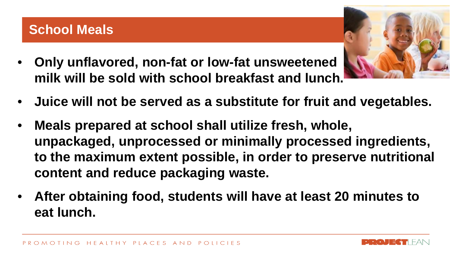- **Only unflavored, non-fat or low-fat unsweetened milk will be sold with school breakfast and lunch.**
- **Juice will not be served as a substitute for fruit and vegetables.**
- **Meals prepared at school shall utilize fresh, whole, unpackaged, unprocessed or minimally processed ingredients, to the maximum extent possible, in order to preserve nutritional content and reduce packaging waste.**
- **After obtaining food, students will have at least 20 minutes to eat lunch.**



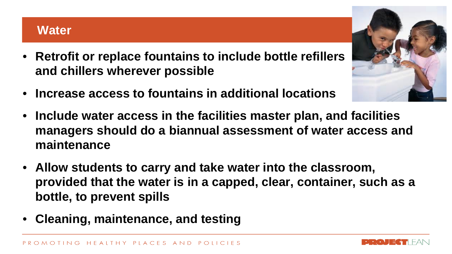#### **Water**

- **Retrofit or replace fountains to include bottle refillers and chillers wherever possible**
- **Increase access to fountains in additional locations**
- **Include water access in the facilities master plan, and facilities managers should do a biannual assessment of water access and maintenance**
- **Allow students to carry and take water into the classroom, provided that the water is in a capped, clear, container, such as a bottle, to prevent spills**
- **Cleaning, maintenance, and testing**



![](_page_19_Picture_8.jpeg)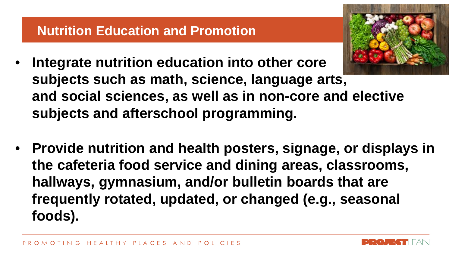### **Nutrition Education and Promotion**

- 
- **Integrate nutrition education into other core subjects such as math, science, language arts, and social sciences, as well as in non-core and elective subjects and afterschool programming.**
- **Provide nutrition and health posters, signage, or displays in the cafeteria food service and dining areas, classrooms, hallways, gymnasium, and/or bulletin boards that are frequently rotated, updated, or changed (e.g., seasonal foods).**

![](_page_20_Picture_5.jpeg)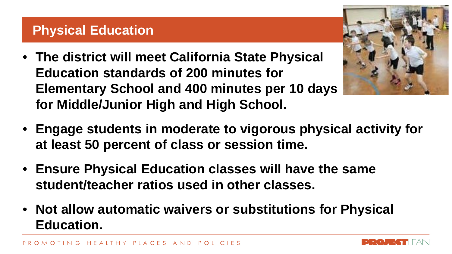#### **Physical Education**

- **The district will meet California State Physical Education standards of 200 minutes for Elementary School and 400 minutes per 10 days for Middle/Junior High and High School.**
- **Engage students in moderate to vigorous physical activity for at least 50 percent of class or session time.**
- **Ensure Physical Education classes will have the same student/teacher ratios used in other classes.**
- **Not allow automatic waivers or substitutions for Physical Education.**

![](_page_21_Picture_6.jpeg)

![](_page_21_Picture_7.jpeg)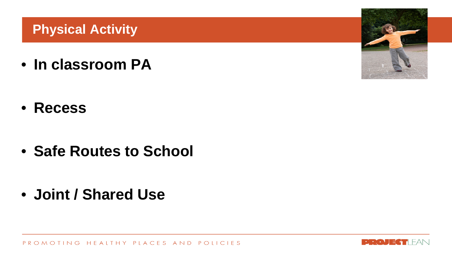## **Physical Activity**

• **In classroom PA**

• **Recess**

• **Safe Routes to School**

• **Joint / Shared Use**

![](_page_22_Picture_5.jpeg)

![](_page_22_Picture_6.jpeg)

![](_page_22_Picture_7.jpeg)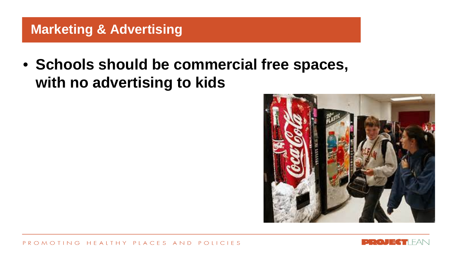### **Marketing & Advertising**

• **Schools should be commercial free spaces, with no advertising to kids** 

![](_page_23_Picture_2.jpeg)

![](_page_23_Picture_3.jpeg)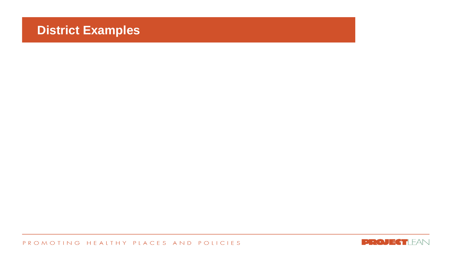#### **District Examples**

![](_page_24_Picture_2.jpeg)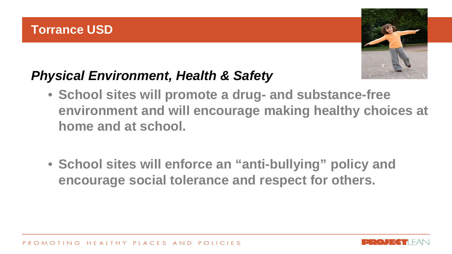![](_page_25_Picture_1.jpeg)

## *Physical Environment, Health & Safety*

- **School sites will promote a drug- and substance-free environment and will encourage making healthy choices at home and at school.**
- **School sites will enforce an "anti-bullying" policy and encourage social tolerance and respect for others.**

![](_page_25_Picture_6.jpeg)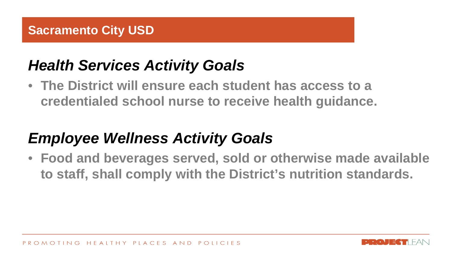## *Health Services Activity Goals*

• **The District will ensure each student has access to a credentialed school nurse to receive health guidance.** 

# *Employee Wellness Activity Goals*

• **Food and beverages served, sold or otherwise made available to staff, shall comply with the District's nutrition standards.**

![](_page_26_Picture_6.jpeg)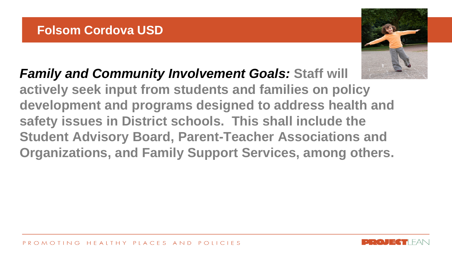![](_page_27_Picture_1.jpeg)

*Family and Community Involvement Goals:* **Staff will actively seek input from students and families on policy development and programs designed to address health and safety issues in District schools. This shall include the Student Advisory Board, Parent-Teacher Associations and Organizations, and Family Support Services, among others.** 

![](_page_27_Picture_4.jpeg)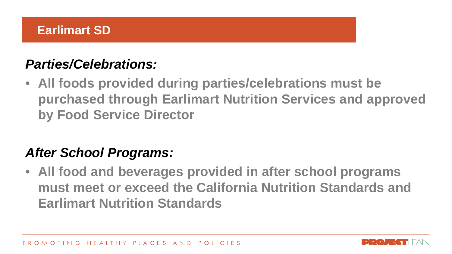## *Parties/Celebrations:*

• **All foods provided during parties/celebrations must be purchased through Earlimart Nutrition Services and approved by Food Service Director**

## *After School Programs:*

• **All food and beverages provided in after school programs must meet or exceed the California Nutrition Standards and Earlimart Nutrition Standards** 

![](_page_28_Picture_6.jpeg)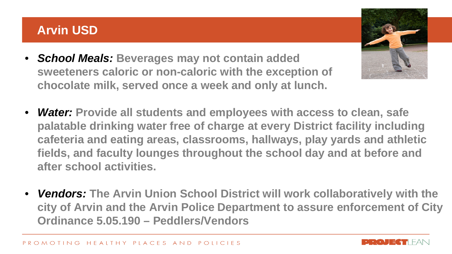#### **Arvin USD**

- *School Meals:* **Beverages may not contain added sweeteners caloric or non-caloric with the exception of chocolate milk, served once a week and only at lunch.**
- *Water:* **Provide all students and employees with access to clean, safe palatable drinking water free of charge at every District facility including cafeteria and eating areas, classrooms, hallways, play yards and athletic fields, and faculty lounges throughout the school day and at before and after school activities.**
- *Vendors:* **The Arvin Union School District will work collaboratively with the city of Arvin and the Arvin Police Department to assure enforcement of City Ordinance 5.05.190 – Peddlers/Vendors**

![](_page_29_Picture_5.jpeg)

![](_page_29_Picture_6.jpeg)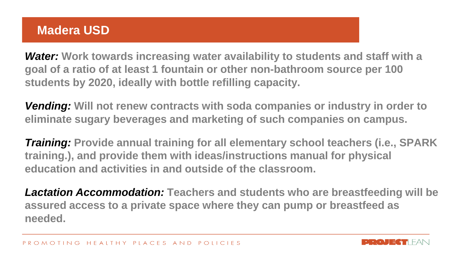#### **Madera USD**

*Water:* **Work towards increasing water availability to students and staff with a goal of a ratio of at least 1 fountain or other non-bathroom source per 100 students by 2020, ideally with bottle refilling capacity.**

*Vending:* **Will not renew contracts with soda companies or industry in order to eliminate sugary beverages and marketing of such companies on campus.**

*Training:* **Provide annual training for all elementary school teachers (i.e., SPARK training.), and provide them with ideas/instructions manual for physical education and activities in and outside of the classroom.**

*Lactation Accommodation:* **Teachers and students who are breastfeeding will be assured access to a private space where they can pump or breastfeed as needed.** 

![](_page_30_Picture_6.jpeg)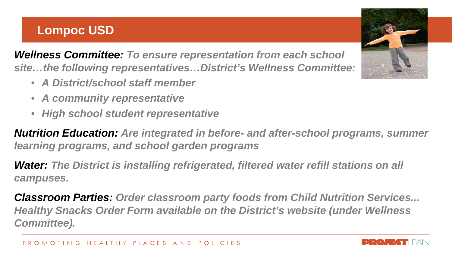#### **Lompoc USD**

*Wellness Committee: To ensure representation from each school site…the following representatives…District's Wellness Committee:*

- *A District/school staff member*
- *A community representative*
- *High school student representative*

*Nutrition Education: Are integrated in before- and after-school programs, summer learning programs, and school garden programs*

**Water: The District is installing refrigerated, filtered water refill stations on all** *campuses.* 

*Classroom Parties: Order classroom party foods from Child Nutrition Services... Healthy Snacks Order Form available on the District's website (under Wellness Committee).*

![](_page_31_Picture_9.jpeg)

![](_page_31_Picture_10.jpeg)